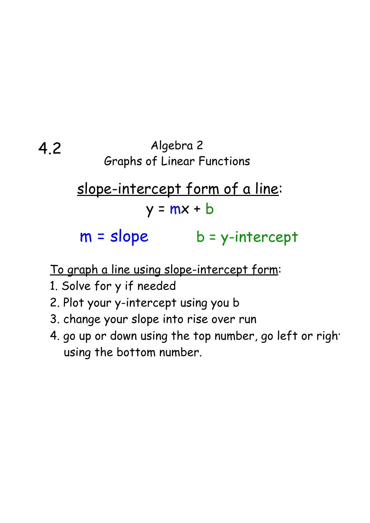### 4.2 Algebra 2 Graphs of Linear Functions

# slope-intercept form of a line:  $y = mx + b$

## $m = slope$  b = y-intercept

### To graph a line using slope-intercept form:

- 1. Solve for y if needed
- 2. Plot your y-intercept using you b
- 3. change your slope into rise over run
- 4. go up or down using the top number, go left or right using the bottom number.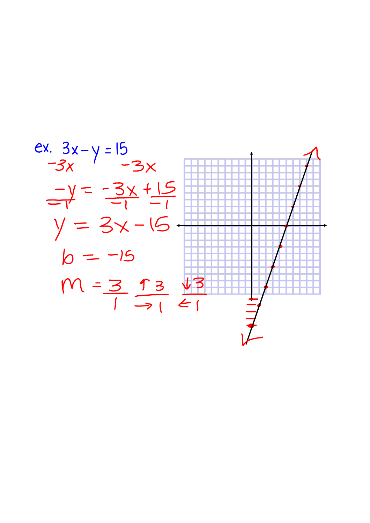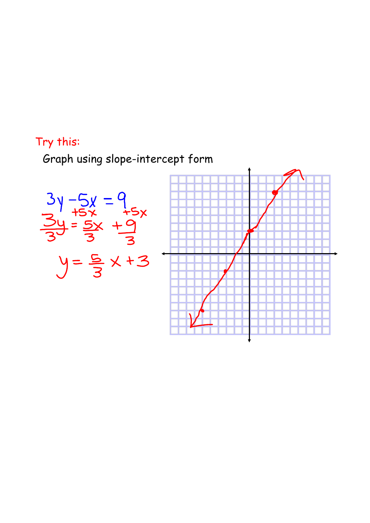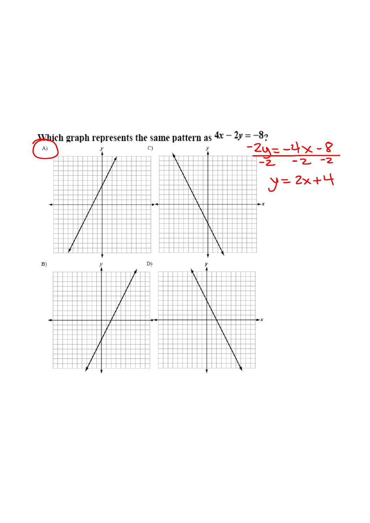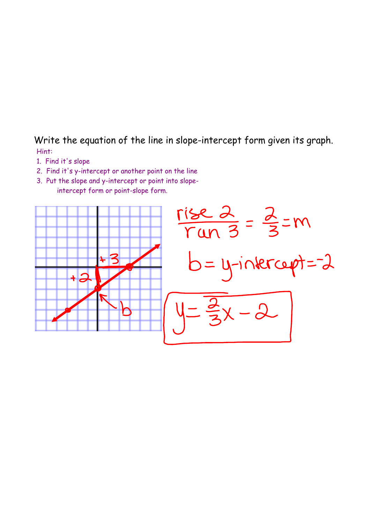### Write the equation of the line in slope-intercept form given its graph. Hint:

- 1. Find it's slope
- 2. Find it's y-intercept or another point on the line
- 3. Put the slope and y-intercept or point into slopeintercept form or point-slope form.

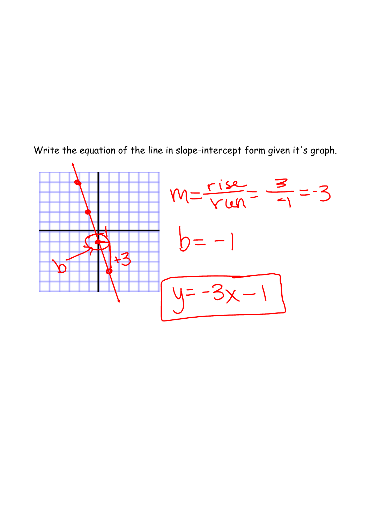

Write the equation of the line in slope-intercept form given it's graph.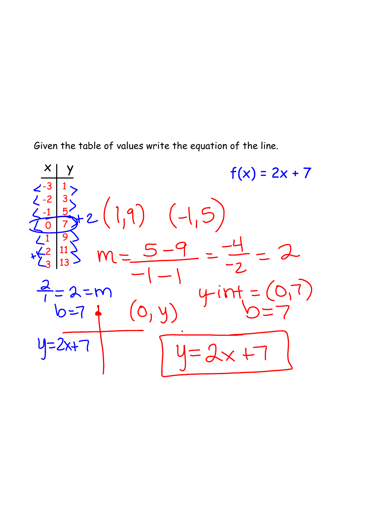Given the table of values write the equation of the line.

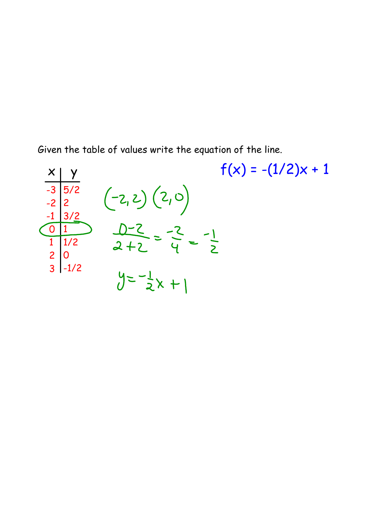Given the table of values write the equation of the line.

$$
\frac{x}{\begin{array}{c}\n\frac{y}{-3} & \frac{y}{5/2} \\
\frac{z}{-2} & \frac{z}{2} \\
\frac{z}{2} & \frac{z}{2} \\
\frac{z}{2} & \frac{z}{2} \\
\frac{z}{2} & \frac{z}{2} \\
\frac{z}{2} & \frac{z}{2} \\
\frac{z}{2} & \frac{z}{2} \\
\frac{z}{2} & \frac{z}{2} \\
\frac{z}{2} & \frac{z}{2} \\
\frac{z}{2} & \frac{z}{2} \\
\frac{z}{2} & \frac{z}{2} \\
\frac{z}{2} & \frac{z}{2} \\
\frac{z}{2} & \frac{z}{2} \\
\frac{z}{2} & \frac{z}{2} \\
\frac{z}{2} & \frac{z}{2} \\
\frac{z}{2} & \frac{z}{2} \\
\frac{z}{2} & \frac{z}{2} \\
\frac{z}{2} & \frac{z}{2} \\
\frac{z}{2} & \frac{z}{2} \\
\frac{z}{2} & \frac{z}{2} \\
\frac{z}{2} & \frac{z}{2} \\
\frac{z}{2} & \frac{z}{2} \\
\frac{z}{2} & \frac{z}{2} \\
\frac{z}{2} & \frac{z}{2} \\
\frac{z}{2} & \frac{z}{2} \\
\frac{z}{2} & \frac{z}{2} \\
\frac{z}{2} & \frac{z}{2} \\
\frac{z}{2} & \frac{z}{2} \\
\frac{z}{2} & \frac{z}{2} \\
\frac{z}{2} & \frac{z}{2} \\
\frac{z}{2} & \frac{z}{2} \\
\frac{z}{2} & \frac{z}{2} \\
\frac{z}{2} & \frac{z}{2} \\
\frac{z}{2} & \frac{z}{2} \\
\frac{z}{2} & \frac{z}{2} \\
\frac{z}{2} & \frac{z}{2} \\
\frac{z}{2} & \frac{z}{2} \\
\frac{z}{2} & \frac{z}{2} \\
\frac{z}{2} & \frac{z}{2} \\
\frac{z}{2} & \frac{z}{2} \\
\frac{z}{2} & \frac{z}{2} \\
\frac{z}{2} & \frac{z}{2} \\
\frac{z}{2} & \frac{z}{2} \\
\frac{z}{2} & \frac{z}{2} \\
\frac{z}{2} & \frac{z}{2} \\
\frac{z}{2} & \frac{z}{2} \\
\frac{z}{2} &
$$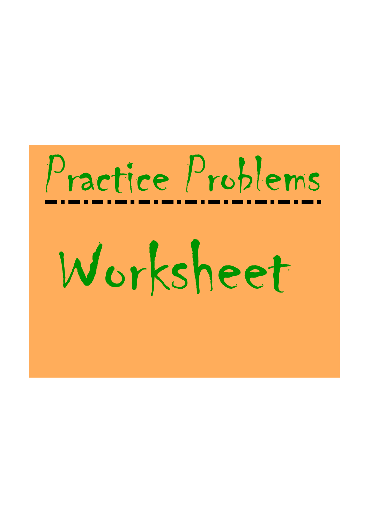# Practice Problems Worksheet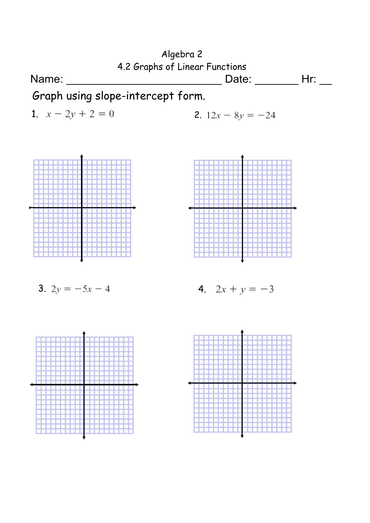

3. 
$$
2y = -5x - 4
$$
 4.